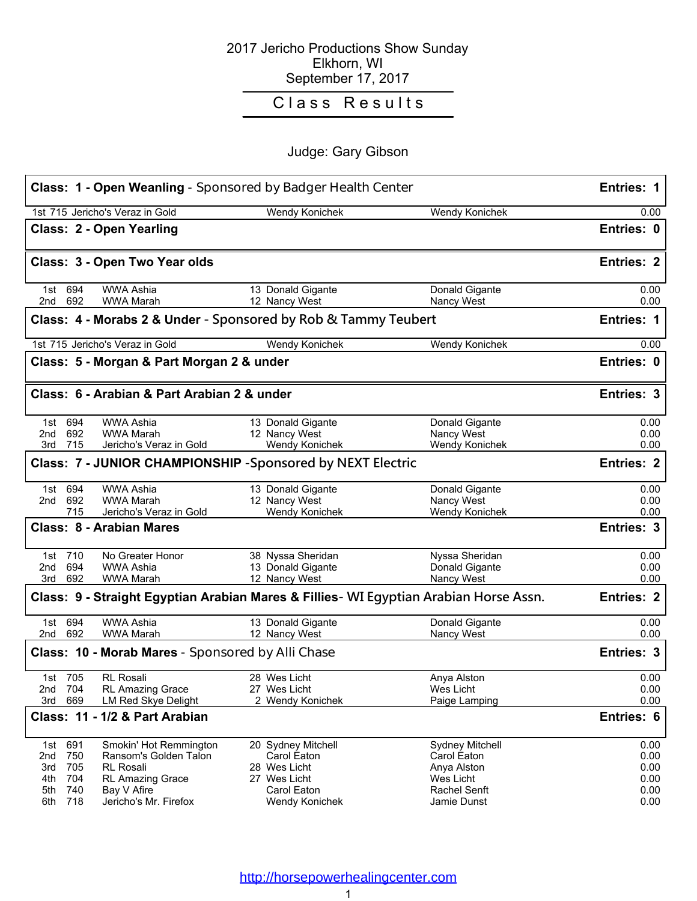### 2017 Jericho Productions Show Sunday Elkhorn, WI September 17, 2017

# Class Results

## Judge: Gary Gibson

|                                                                                   | Judge. Gary Gibson                                                                    |                              |                    |
|-----------------------------------------------------------------------------------|---------------------------------------------------------------------------------------|------------------------------|--------------------|
|                                                                                   | <b>Class: 1 - Open Weanling</b> - Sponsored by Badger Health Center                   |                              | Entries: 1         |
| 1st 715 Jericho's Veraz in Gold                                                   | Wendy Konichek                                                                        | Wendy Konichek               | 0.00               |
| <b>Class: 2 - Open Yearling</b>                                                   |                                                                                       |                              | Entries: 0         |
| Class: 3 - Open Two Year olds                                                     |                                                                                       |                              | <b>Entries: 2</b>  |
| <b>WWA Ashia</b><br>1st 694<br>2nd 692<br><b>WWA Marah</b>                        | 13 Donald Gigante<br>12 Nancy West                                                    | Donald Gigante<br>Nancy West | 0.00<br>0.00       |
|                                                                                   | Class: 4 - Morabs 2 & Under - Sponsored by Rob & Tammy Teubert                        |                              | Entries: 1         |
| 1st 715 Jericho's Veraz in Gold                                                   | Wendy Konichek                                                                        | Wendy Konichek               | 0.00               |
| Class: 5 - Morgan & Part Morgan 2 & under                                         |                                                                                       |                              | Entries: 0         |
| Class: 6 - Arabian & Part Arabian 2 & under                                       |                                                                                       |                              | <b>Entries: 3</b>  |
| 1st 694<br><b>WWA Ashia</b>                                                       | 13 Donald Gigante                                                                     | Donald Gigante               | 0.00               |
| 2nd 692<br><b>WWA Marah</b><br>3rd 715<br>Jericho's Veraz in Gold                 | 12 Nancy West<br>Wendy Konichek                                                       | Nancy West<br>Wendy Konichek | 0.00<br>0.00       |
|                                                                                   | Class: 7 - JUNIOR CHAMPIONSHIP - Sponsored by NEXT Electric                           |                              | <b>Entries: 2</b>  |
| <b>WWA Ashia</b><br>1st 694                                                       | 13 Donald Gigante                                                                     | Donald Gigante               | 0.00               |
| 692<br>2nd<br><b>WWA Marah</b>                                                    | 12 Nancy West                                                                         | Nancy West                   | 0.00               |
| 715<br>Jericho's Veraz in Gold<br><b>Class: 8 - Arabian Mares</b>                 | Wendy Konichek                                                                        | Wendy Konichek               | 0.00<br>Entries: 3 |
|                                                                                   |                                                                                       |                              |                    |
| 1st 710<br>No Greater Honor                                                       | 38 Nyssa Sheridan                                                                     | Nyssa Sheridan               | 0.00               |
| 2nd 694<br>WWA Ashia<br>3rd<br>692<br><b>WWA Marah</b>                            | 13 Donald Gigante<br>12 Nancy West                                                    | Donald Gigante<br>Nancy West | 0.00<br>0.00       |
|                                                                                   | Class: 9 - Straight Egyptian Arabian Mares & Fillies- WI Egyptian Arabian Horse Assn. |                              | <b>Entries: 2</b>  |
|                                                                                   |                                                                                       |                              |                    |
| 1st 694<br><b>WWA Ashia</b><br>692<br><b>WWA Marah</b><br>2nd                     | 13 Donald Gigante<br>12 Nancy West                                                    | Donald Gigante<br>Nancy West | 0.00<br>0.00       |
| <b>Class: 10 - Morab Mares</b> - Sponsored by Alli Chase                          |                                                                                       |                              | <b>Entries: 3</b>  |
| 1st 705<br>RL Rosali                                                              | 28 Wes Licht                                                                          | Anya Alston                  | 0.00               |
| 704<br>2nd<br><b>RL Amazing Grace</b><br>3rd<br>669<br><b>LM Red Skye Delight</b> | 27 Wes Licht<br>2 Wendy Konichek                                                      | Wes Licht<br>Paige Lamping   | 0.00<br>0.00       |
| Class: 11 - 1/2 & Part Arabian                                                    |                                                                                       |                              | Entries: 6         |
|                                                                                   |                                                                                       |                              |                    |
| 1st 691<br>Smokin' Hot Remmington                                                 | 20 Sydney Mitchell                                                                    | Sydney Mitchell              | 0.00               |
| 750<br>2nd<br>Ransom's Golden Talon<br>705<br>3rd<br><b>RL Rosali</b>             | Carol Eaton<br>28 Wes Licht                                                           | Carol Eaton                  | 0.00               |
| 704<br>4th<br><b>RL Amazing Grace</b>                                             | 27 Wes Licht                                                                          | Anya Alston<br>Wes Licht     | 0.00<br>0.00       |
| 740<br>5th<br>Bay V Afire                                                         | Carol Eaton                                                                           | Rachel Senft                 | 0.00               |
| 718<br>Jericho's Mr. Firefox<br>6th                                               | Wendy Konichek                                                                        | Jamie Dunst                  | 0.00               |
|                                                                                   |                                                                                       |                              |                    |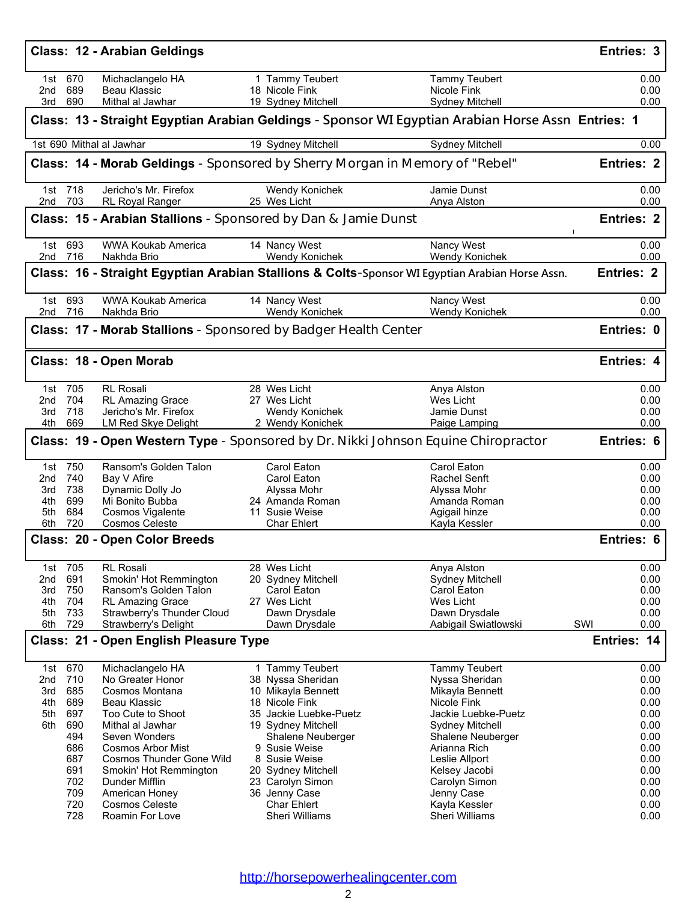|                        |                    | Class: 12 - Arabian Geldings                       |                                                                              |                                                                                                    | Entries: 3           |
|------------------------|--------------------|----------------------------------------------------|------------------------------------------------------------------------------|----------------------------------------------------------------------------------------------------|----------------------|
|                        | 1st 670<br>2nd 689 | Michaclangelo HA<br>Beau Klassic                   | 1 Tammy Teubert<br>18 Nicole Fink                                            | <b>Tammy Teubert</b><br>Nicole Fink                                                                | 0.00<br>0.00         |
| 3rd                    | 690                | Mithal al Jawhar                                   | 19 Sydney Mitchell                                                           | Sydney Mitchell                                                                                    | 0.00                 |
|                        |                    |                                                    |                                                                              | Class: 13 - Straight Egyptian Arabian Geldings - Sponsor WI Egyptian Arabian Horse Assn Entries: 1 |                      |
|                        |                    | 1st 690 Mithal al Jawhar                           | 19 Sydney Mitchell                                                           | Sydney Mitchell                                                                                    | 0.00                 |
|                        |                    |                                                    | Class: 14 - Morab Geldings - Sponsored by Sherry Morgan in Memory of "Rebel" |                                                                                                    | <b>Entries: 2</b>    |
|                        | 1st 718<br>2nd 703 | Jericho's Mr. Firefox<br>RL Royal Ranger           | Wendy Konichek<br>25 Wes Licht                                               | Jamie Dunst<br>Anya Alston                                                                         | 0.00<br>0.00         |
|                        |                    |                                                    | <b>Class: 15 - Arabian Stallions</b> - Sponsored by Dan & Jamie Dunst        |                                                                                                    | <b>Entries: 2</b>    |
|                        | 1st 693<br>2nd 716 | WWA Koukab America<br>Nakhda Brio                  | 14 Nancy West<br>Wendy Konichek                                              | Nancy West<br>Wendy Konichek                                                                       | 0.00<br>0.00         |
|                        |                    |                                                    |                                                                              | Class: 16 - Straight Egyptian Arabian Stallions & Colts-Sponsor WI Egyptian Arabian Horse Assn.    | <b>Entries: 2</b>    |
|                        | 1st 693<br>2nd 716 | <b>WWA Koukab America</b><br>Nakhda Brio           | 14 Nancy West<br>Wendy Konichek                                              | Nancy West<br>Wendy Konichek                                                                       | 0.00<br>0.00         |
|                        |                    |                                                    | Class: 17 - Morab Stallions - Sponsored by Badger Health Center              |                                                                                                    | Entries: 0           |
|                        |                    | Class: 18 - Open Morab                             |                                                                              |                                                                                                    | Entries: 4           |
|                        | 1st 705            | <b>RL Rosali</b>                                   | 28 Wes Licht                                                                 | Anya Alston                                                                                        | 0.00                 |
|                        | 2nd 704<br>3rd 718 | <b>RL Amazing Grace</b><br>Jericho's Mr. Firefox   | 27 Wes Licht<br>Wendy Konichek                                               | Wes Licht<br>Jamie Dunst                                                                           | 0.00<br>0.00         |
|                        | 4th 669            | LM Red Skye Delight                                | 2 Wendy Konichek                                                             | Paige Lamping                                                                                      | 0.00                 |
|                        |                    |                                                    |                                                                              | <b>Class: 19 - Open Western Type</b> - Sponsored by Dr. Nikki Johnson Equine Chiropractor          | <b>Entries: 6</b>    |
|                        | 1st 750            | Ransom's Golden Talon                              | Carol Eaton                                                                  | Carol Eaton                                                                                        | 0.00                 |
| 3rd                    | 2nd 740<br>738     | Bay V Afire<br>Dynamic Dolly Jo                    | Carol Eaton<br>Alyssa Mohr                                                   | Rachel Senft<br>Alyssa Mohr                                                                        | 0.00<br>0.00         |
| 4th l                  | 699                | Mi Bonito Bubba                                    | 24 Amanda Roman                                                              | Amanda Roman                                                                                       | 0.00                 |
| 5th                    | 684                | Cosmos Vigalente                                   | 11 Susie Weise                                                               | Agigail hinze                                                                                      | 0.00                 |
| 6th                    | 720                | <b>Cosmos Celeste</b>                              | <b>Char Ehlert</b>                                                           | Kayla Kessler                                                                                      | 0.00                 |
|                        |                    | Class: 20 - Open Color Breeds                      |                                                                              |                                                                                                    | Entries: 6           |
| 1st<br>2 <sub>nd</sub> | 705<br>691         | <b>RL Rosali</b><br>Smokin' Hot Remmington         | 28 Wes Licht<br>20 Sydney Mitchell                                           | Anya Alston<br>Sydney Mitchell                                                                     | 0.00<br>0.00         |
| 3rd                    | 750                | Ransom's Golden Talon                              | Carol Eaton                                                                  | Carol Eaton                                                                                        | 0.00                 |
| 4th                    | 704                | <b>RL Amazing Grace</b>                            | 27 Wes Licht                                                                 | Wes Licht                                                                                          | 0.00                 |
| 5th<br>6th             | 733<br>729         | Strawberry's Thunder Cloud<br>Strawberry's Delight | Dawn Drysdale                                                                | Dawn Drysdale                                                                                      | 0.00<br>SWI<br>0.00  |
|                        |                    | Class: 21 - Open English Pleasure Type             | Dawn Drysdale                                                                | Aabigail Swiatlowski                                                                               | Entries: 14          |
|                        |                    |                                                    |                                                                              |                                                                                                    |                      |
| 1st<br>2nd             | 670<br>710         | Michaclangelo HA<br>No Greater Honor               | 1 Tammy Teubert<br>38 Nyssa Sheridan                                         | <b>Tammy Teubert</b><br>Nyssa Sheridan                                                             | 0.00<br>0.00         |
| 3rd                    | 685                | Cosmos Montana                                     | 10 Mikayla Bennett                                                           | Mikayla Bennett                                                                                    | 0.00                 |
| 4th                    | 689                | Beau Klassic                                       | 18 Nicole Fink                                                               | Nicole Fink                                                                                        | 0.00                 |
| 5th                    | 697                | Too Cute to Shoot                                  | 35 Jackie Luebke-Puetz                                                       | Jackie Luebke-Puetz                                                                                | 0.00                 |
| 6th.                   | 690                | Mithal al Jawhar                                   | 19 Sydney Mitchell                                                           | <b>Sydney Mitchell</b>                                                                             | 0.00                 |
|                        | 494<br>686         | Seven Wonders<br><b>Cosmos Arbor Mist</b>          | Shalene Neuberger<br>9 Susie Weise                                           | Shalene Neuberger<br>Arianna Rich                                                                  | 0.00<br>0.00         |
|                        | 687                | Cosmos Thunder Gone Wild                           | 8 Susie Weise                                                                | Leslie Allport                                                                                     | 0.00                 |
|                        | 691                | Smokin' Hot Remmington                             | 20 Sydney Mitchell                                                           | Kelsey Jacobi                                                                                      | 0.00                 |
|                        | 702                | Dunder Mifflin                                     | 23 Carolyn Simon                                                             | Carolyn Simon                                                                                      | 0.00                 |
|                        |                    |                                                    |                                                                              |                                                                                                    |                      |
|                        | 709                | American Honey                                     | 36 Jenny Case                                                                | Jenny Case                                                                                         |                      |
|                        | 720<br>728         | <b>Cosmos Celeste</b><br>Roamin For Love           | <b>Char Ehlert</b><br>Sheri Williams                                         | Kayla Kessler<br>Sheri Williams                                                                    | 0.00<br>0.00<br>0.00 |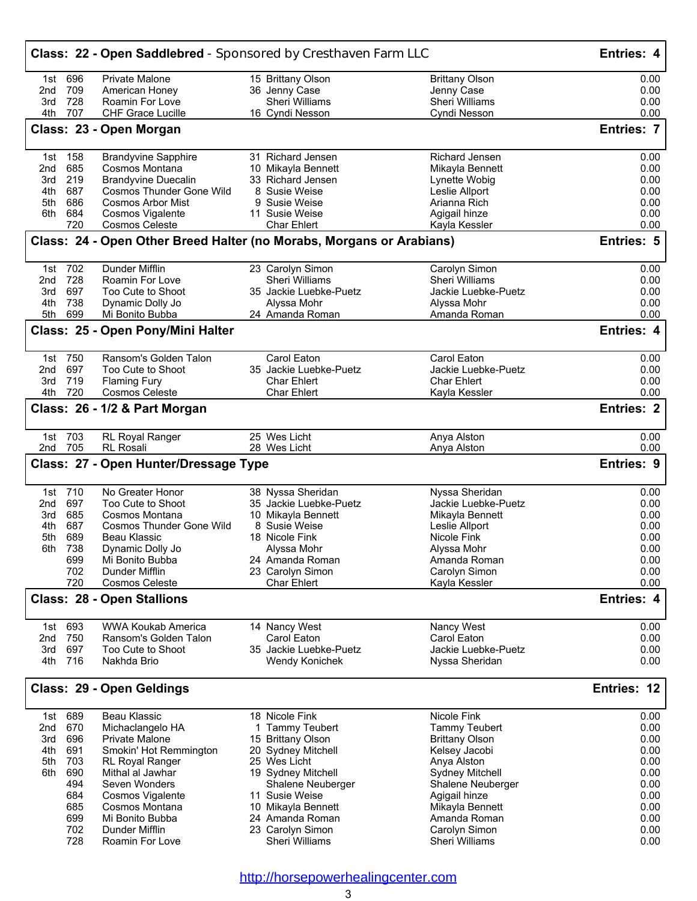|     |         | <b>Class: 22 - Open Saddlebred</b> - Sponsored by Cresthaven Farm LLC |                        |                       | <b>Entries: 4</b> |
|-----|---------|-----------------------------------------------------------------------|------------------------|-----------------------|-------------------|
|     | 1st 696 | Private Malone                                                        | 15 Brittany Olson      | <b>Brittany Olson</b> | 0.00              |
| 2nd | 709     | American Honey                                                        | 36 Jenny Case          | Jenny Case            | 0.00              |
| 3rd | 728     | Roamin For Love                                                       | Sheri Williams         | Sheri Williams        | 0.00              |
| 4th | 707     | <b>CHF Grace Lucille</b>                                              | 16 Cyndi Nesson        | Cyndi Nesson          | 0.00              |
|     |         | Class: 23 - Open Morgan                                               |                        |                       | <b>Entries: 7</b> |
| 1st | 158     | <b>Brandyvine Sapphire</b>                                            | 31 Richard Jensen      | Richard Jensen        | 0.00              |
| 2nd | 685     | Cosmos Montana                                                        | 10 Mikayla Bennett     | Mikayla Bennett       | 0.00              |
| 3rd | 219     | <b>Brandyvine Duecalin</b>                                            | 33 Richard Jensen      | Lynette Wobig         | 0.00              |
| 4th | 687     | Cosmos Thunder Gone Wild                                              | 8 Susie Weise          | Leslie Allport        | 0.00              |
| 5th | 686     | <b>Cosmos Arbor Mist</b>                                              | 9 Susie Weise          | Arianna Rich          | 0.00              |
| 6th | 684     | Cosmos Vigalente                                                      | 11 Susie Weise         | Agigail hinze         | 0.00              |
|     | 720     | <b>Cosmos Celeste</b>                                                 | <b>Char Ehlert</b>     | Kayla Kessler         | 0.00              |
|     |         | Class: 24 - Open Other Breed Halter (no Morabs, Morgans or Arabians)  |                        |                       | <b>Entries: 5</b> |
|     | 1st 702 | <b>Dunder Mifflin</b>                                                 | 23 Carolyn Simon       | Carolyn Simon         | 0.00              |
| 2nd | 728     | Roamin For Love                                                       | Sheri Williams         | <b>Sheri Williams</b> | 0.00              |
| 3rd | 697     | Too Cute to Shoot                                                     | 35 Jackie Luebke-Puetz | Jackie Luebke-Puetz   | 0.00              |
| 4th | 738     | Dynamic Dolly Jo                                                      | Alyssa Mohr            | Alyssa Mohr           | 0.00              |
| 5th | 699     | Mi Bonito Bubba                                                       | 24 Amanda Roman        | Amanda Roman          | 0.00              |
|     |         | Class: 25 - Open Pony/Mini Halter                                     |                        |                       | Entries: 4        |
|     | 1st 750 | Ransom's Golden Talon                                                 | Carol Eaton            | Carol Eaton           | 0.00              |
| 2nd | 697     | Too Cute to Shoot                                                     | 35 Jackie Luebke-Puetz | Jackie Luebke-Puetz   | 0.00              |
| 3rd | 719     | <b>Flaming Fury</b>                                                   | <b>Char Ehlert</b>     | <b>Char Ehlert</b>    | 0.00              |
| 4th | 720     | <b>Cosmos Celeste</b>                                                 | <b>Char Ehlert</b>     | Kayla Kessler         | 0.00              |
|     |         | Class: 26 - 1/2 & Part Morgan                                         |                        |                       | <b>Entries: 2</b> |
|     | 1st 703 | RL Royal Ranger                                                       | 25 Wes Licht           | Anya Alston           | 0.00              |
|     | 2nd 705 | <b>RL Rosali</b>                                                      | 28 Wes Licht           | Anya Alston           | 0.00              |
|     |         | Class: 27 - Open Hunter/Dressage Type                                 |                        |                       | <b>Entries: 9</b> |
|     | 1st 710 | No Greater Honor                                                      | 38 Nyssa Sheridan      | Nyssa Sheridan        | 0.00              |
| 2nd | 697     | Too Cute to Shoot                                                     | 35 Jackie Luebke-Puetz | Jackie Luebke-Puetz   | 0.00              |
| 3rd | 685     | Cosmos Montana                                                        | 10 Mikayla Bennett     | Mikayla Bennett       | 0.00              |
| 4th | 687     | <b>Cosmos Thunder Gone Wild</b>                                       | 8 Susie Weise          | Leslie Allport        | 0.00              |
| 5th | 689     | Beau Klassic                                                          | 18 Nicole Fink         | Nicole Fink           | 0.00              |
| 6th | 738     | Dynamic Dolly Jo                                                      | Alyssa Mohr            | Alvssa Mohr           | 0.00              |
|     | 699     | Mi Bonito Bubba                                                       | 24 Amanda Roman        | Amanda Roman          | 0.00              |
|     | 702     | <b>Dunder Mifflin</b>                                                 | 23 Carolyn Simon       | Carolyn Simon         | 0.00              |
|     | 720     | <b>Cosmos Celeste</b>                                                 | <b>Char Ehlert</b>     | Kayla Kessler         | 0.00              |
|     |         | <b>Class: 28 - Open Stallions</b>                                     |                        |                       | <b>Entries: 4</b> |
| 1st | 693     | <b>WWA Koukab America</b>                                             | 14 Nancy West          | Nancy West            | 0.00              |
| 2nd | 750     | Ransom's Golden Talon                                                 | Carol Eaton            | Carol Eaton           | 0.00              |
| 3rd | 697     | Too Cute to Shoot                                                     | 35 Jackie Luebke-Puetz | Jackie Luebke-Puetz   | 0.00              |
| 4th | 716     | Nakhda Brio                                                           | Wendy Konichek         | Nyssa Sheridan        | 0.00              |
|     |         | Class: 29 - Open Geldings                                             |                        |                       | Entries: 12       |
| 1st | 689     | Beau Klassic                                                          | 18 Nicole Fink         | Nicole Fink           | 0.00              |
| 2nd | 670     | Michaclangelo HA                                                      | 1 Tammy Teubert        | Tammy Teubert         | 0.00              |
| 3rd | 696     | <b>Private Malone</b>                                                 | 15 Brittany Olson      | <b>Brittany Olson</b> | 0.00              |
| 4th | 691     | Smokin' Hot Remmington                                                | 20 Sydney Mitchell     | Kelsey Jacobi         | 0.00              |
| 5th | 703     | RL Royal Ranger                                                       | 25 Wes Licht           | Anya Alston           | 0.00              |
| 6th | 690     | Mithal al Jawhar                                                      | 19 Sydney Mitchell     | Sydney Mitchell       | 0.00              |
|     | 494     | Seven Wonders                                                         | Shalene Neuberger      | Shalene Neuberger     | 0.00              |
|     | 684     | Cosmos Vigalente                                                      | 11 Susie Weise         | Agigail hinze         | 0.00              |
|     | 685     | Cosmos Montana                                                        | 10 Mikayla Bennett     | Mikayla Bennett       | 0.00              |
|     | 699     | Mi Bonito Bubba                                                       | 24 Amanda Roman        | Amanda Roman          | 0.00              |
|     | 702     | Dunder Mifflin                                                        | 23 Carolyn Simon       | Carolyn Simon         | 0.00              |
|     | 728     | Roamin For Love                                                       | Sheri Williams         | Sheri Williams        | 0.00              |
|     |         |                                                                       |                        |                       |                   |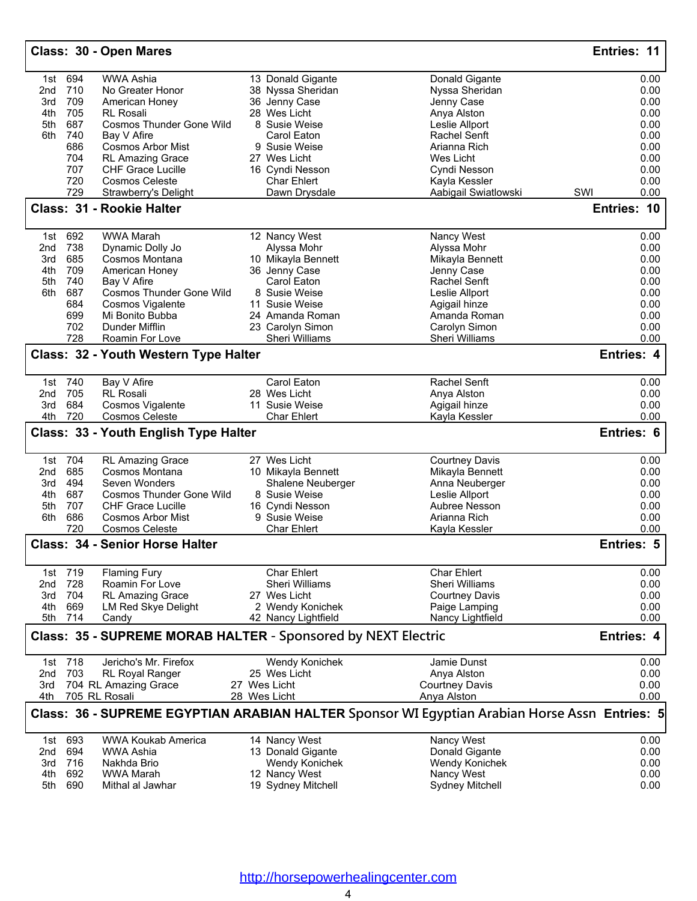|            |            | Class: 30 - Open Mares                                        |                       |                                                                                               | Entries: 11       |
|------------|------------|---------------------------------------------------------------|-----------------------|-----------------------------------------------------------------------------------------------|-------------------|
| 1st        | 694        | <b>WWA Ashia</b>                                              | 13 Donald Gigante     | Donald Gigante                                                                                | 0.00              |
| 2nd        | 710        | No Greater Honor                                              | 38 Nyssa Sheridan     | Nyssa Sheridan                                                                                | 0.00              |
| 3rd        | 709        | American Honey                                                | 36 Jenny Case         | Jenny Case                                                                                    | 0.00              |
| 4th        | 705        | <b>RL Rosali</b>                                              | 28 Wes Licht          | Anya Alston                                                                                   | 0.00              |
| 5th        | 687        | Cosmos Thunder Gone Wild                                      | 8 Susie Weise         | Leslie Allport                                                                                | 0.00              |
| 6th        | 740        | Bay V Afire                                                   | Carol Eaton           | Rachel Senft                                                                                  | 0.00              |
|            | 686        | <b>Cosmos Arbor Mist</b>                                      | 9 Susie Weise         | Arianna Rich                                                                                  | 0.00              |
|            | 704        | <b>RL Amazing Grace</b>                                       | 27 Wes Licht          | Wes Licht                                                                                     | 0.00              |
|            | 707        | <b>CHF Grace Lucille</b>                                      | 16 Cyndi Nesson       | Cyndi Nesson                                                                                  | 0.00              |
|            | 720        | <b>Cosmos Celeste</b>                                         | <b>Char Ehlert</b>    | Kayla Kessler                                                                                 | 0.00              |
|            | 729        | Strawberry's Delight                                          | Dawn Drysdale         | Aabigail Swiatlowski                                                                          | SWI<br>0.00       |
|            |            | Class: 31 - Rookie Halter                                     |                       |                                                                                               | Entries: 10       |
| 1st        | 692        | <b>WWA Marah</b>                                              | 12 Nancy West         | Nancy West                                                                                    | 0.00              |
| 2nd        | 738        | Dynamic Dolly Jo                                              | Alyssa Mohr           | Alyssa Mohr                                                                                   | 0.00              |
| 3rd        | 685        | Cosmos Montana                                                | 10 Mikayla Bennett    | Mikayla Bennett                                                                               | 0.00              |
| 4th        | 709        | American Honey                                                | 36 Jenny Case         | Jenny Case                                                                                    | 0.00              |
| 5th        | 740        | Bay V Afire                                                   | Carol Eaton           | Rachel Senft                                                                                  | 0.00              |
| 6th        | 687        | Cosmos Thunder Gone Wild                                      | 8 Susie Weise         | Leslie Allport                                                                                | 0.00              |
|            | 684        | <b>Cosmos Vigalente</b>                                       | 11 Susie Weise        | Agigail hinze                                                                                 | 0.00              |
|            | 699        | Mi Bonito Bubba                                               | 24 Amanda Roman       | Amanda Roman                                                                                  | 0.00              |
|            | 702        | Dunder Mifflin                                                | 23 Carolyn Simon      | Carolyn Simon                                                                                 | 0.00              |
|            | 728        | Roamin For Love                                               | <b>Sheri Williams</b> | Sheri Williams                                                                                | 0.00              |
|            |            | Class: 32 - Youth Western Type Halter                         |                       |                                                                                               | Entries: 4        |
|            | 1st 740    | Bay V Afire                                                   | Carol Eaton           | Rachel Senft                                                                                  | 0.00              |
| 2nd        | 705        | <b>RL Rosali</b>                                              | 28 Wes Licht          | Anya Alston                                                                                   | 0.00              |
| 3rd        | 684        | Cosmos Vigalente                                              | 11 Susie Weise        | Agigail hinze                                                                                 | 0.00              |
| 4th        | 720        | <b>Cosmos Celeste</b>                                         | <b>Char Ehlert</b>    | Kayla Kessler                                                                                 | 0.00              |
|            |            | Class: 33 - Youth English Type Halter                         |                       |                                                                                               | Entries: 6        |
| 1st        | 704        | RL Amazing Grace                                              | 27 Wes Licht          | <b>Courtney Davis</b>                                                                         | 0.00              |
| 2nd        | 685        | Cosmos Montana                                                | 10 Mikayla Bennett    | Mikayla Bennett                                                                               | 0.00              |
| 3rd        | 494        | Seven Wonders                                                 | Shalene Neuberger     | Anna Neuberger                                                                                | 0.00              |
| 4th        | 687        | <b>Cosmos Thunder Gone Wild</b>                               | 8 Susie Weise         | Leslie Allport                                                                                | 0.00              |
| 5th        | 707        | <b>CHF Grace Lucille</b>                                      | 16 Cyndi Nesson       | Aubree Nesson                                                                                 | 0.00              |
| 6th        | 686        | <b>Cosmos Arbor Mist</b>                                      | 9 Susie Weise         | Arianna Rich                                                                                  | 0.00              |
|            | 720        | <b>Cosmos Celeste</b>                                         | <b>Char Ehlert</b>    | Kayla Kessler                                                                                 | 0.00              |
|            |            | <b>Class: 34 - Senior Horse Halter</b>                        |                       |                                                                                               | Entries: 5        |
|            | 1st 719    | <b>Flaming Fury</b>                                           | Char Ehlert           | <b>Char Ehlert</b>                                                                            | 0.00              |
| 2nd        | 728        | Roamin For Love                                               | Sheri Williams        | Sheri Williams                                                                                | 0.00              |
| 3rd        | 704        | <b>RL Amazing Grace</b>                                       | 27 Wes Licht          | <b>Courtney Davis</b>                                                                         | 0.00              |
| 4th        | 669        | <b>LM Red Skye Delight</b>                                    | 2 Wendy Konichek      | Paige Lamping                                                                                 | 0.00              |
| 5th        | 714        | Candy                                                         | 42 Nancy Lightfield   | Nancy Lightfield                                                                              | 0.00              |
|            |            | Class: 35 - SUPREME MORAB HALTER - Sponsored by NEXT Electric |                       |                                                                                               | <b>Entries: 4</b> |
|            | 1st 718    | Jericho's Mr. Firefox                                         | Wendy Konichek        | Jamie Dunst                                                                                   | 0.00              |
| 2nd        | 703        | <b>RL Royal Ranger</b>                                        | 25 Wes Licht          | Anya Alston                                                                                   | 0.00              |
| 3rd        |            | 704 RL Amazing Grace                                          | 27 Wes Licht          | <b>Courtney Davis</b>                                                                         | 0.00              |
| 4th        |            | 705 RL Rosali                                                 | 28 Wes Licht          | Anya Alston                                                                                   | 0.00              |
|            |            |                                                               |                       | Class: 36 - SUPREME EGYPTIAN ARABIAN HALTER Sponsor WI Egyptian Arabian Horse Assn Entries: 5 |                   |
|            | 1st 693    | <b>WWA Koukab America</b>                                     | 14 Nancy West         | Nancy West                                                                                    | 0.00              |
| 2nd        | 694        | WWA Ashia                                                     | 13 Donald Gigante     | Donald Gigante                                                                                | 0.00              |
| 3rd        | 716        | Nakhda Brio                                                   | Wendy Konichek        | Wendy Konichek                                                                                | 0.00              |
|            |            | WWA Marah                                                     | 12 Nancy West         | Nancy West                                                                                    | 0.00              |
|            |            |                                                               |                       |                                                                                               |                   |
| 4th<br>5th | 692<br>690 | Mithal al Jawhar                                              | 19 Sydney Mitchell    | Sydney Mitchell                                                                               | 0.00              |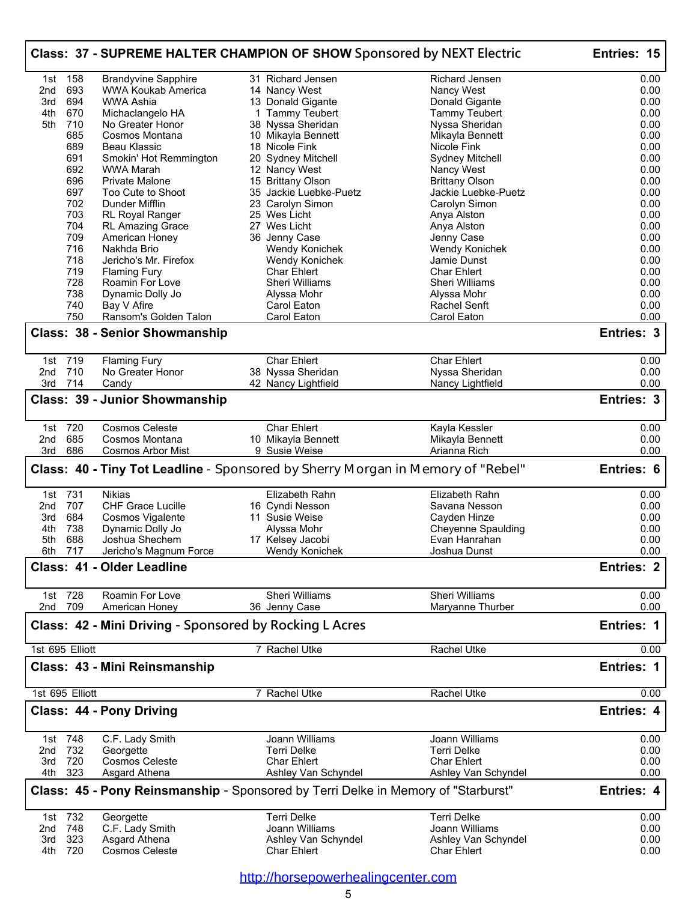| Class: 37 - SUPREME HALTER CHAMPION OF SHOW Sponsored by NEXT Electric |                    |                                                                                        |  |                                             |  | Entries: 15                                  |                           |
|------------------------------------------------------------------------|--------------------|----------------------------------------------------------------------------------------|--|---------------------------------------------|--|----------------------------------------------|---------------------------|
| 1st                                                                    | 158                | <b>Brandyvine Sapphire</b>                                                             |  | 31 Richard Jensen                           |  | Richard Jensen                               | 0.00                      |
| 2nd                                                                    | 693                | <b>WWA Koukab America</b>                                                              |  | 14 Nancy West                               |  | Nancy West                                   | 0.00                      |
| 3rd                                                                    | 694                | WWA Ashia                                                                              |  | 13 Donald Gigante                           |  | Donald Gigante                               | 0.00                      |
| 4th                                                                    | 670                | Michaclangelo HA                                                                       |  | 1 Tammy Teubert                             |  | Tammy Teubert                                | 0.00                      |
| 5th                                                                    | 710                | No Greater Honor                                                                       |  | 38 Nyssa Sheridan                           |  | Nyssa Sheridan                               | 0.00                      |
|                                                                        | 685                | Cosmos Montana                                                                         |  | 10 Mikayla Bennett                          |  | Mikayla Bennett                              | 0.00                      |
|                                                                        | 689                | Beau Klassic                                                                           |  | 18 Nicole Fink                              |  | Nicole Fink                                  | 0.00                      |
|                                                                        | 691                | Smokin' Hot Remmington                                                                 |  | 20 Sydney Mitchell                          |  | <b>Sydney Mitchell</b>                       | 0.00                      |
|                                                                        | 692                | <b>WWA Marah</b>                                                                       |  | 12 Nancy West                               |  | Nancy West                                   | 0.00                      |
|                                                                        | 696<br>697         | <b>Private Malone</b><br>Too Cute to Shoot                                             |  | 15 Brittany Olson<br>35 Jackie Luebke-Puetz |  | <b>Brittany Olson</b><br>Jackie Luebke-Puetz | 0.00<br>0.00              |
|                                                                        | 702                | Dunder Mifflin                                                                         |  | 23 Carolyn Simon                            |  | Carolyn Simon                                | 0.00                      |
|                                                                        | 703                | RL Royal Ranger                                                                        |  | 25 Wes Licht                                |  | Anya Alston                                  | 0.00                      |
|                                                                        | 704                | RL Amazing Grace                                                                       |  | 27 Wes Licht                                |  | Anya Alston                                  | 0.00                      |
|                                                                        | 709                | American Honey                                                                         |  | 36 Jenny Case                               |  | Jenny Case                                   | 0.00                      |
|                                                                        | 716                | Nakhda Brio                                                                            |  | Wendy Konichek                              |  | Wendy Konichek                               | 0.00                      |
|                                                                        | 718                | Jericho's Mr. Firefox                                                                  |  | Wendy Konichek                              |  | Jamie Dunst                                  | 0.00                      |
|                                                                        | 719                | <b>Flaming Fury</b>                                                                    |  | <b>Char Ehlert</b>                          |  | <b>Char Ehlert</b>                           | 0.00                      |
|                                                                        | 728                | Roamin For Love                                                                        |  | Sheri Williams                              |  | Sheri Williams                               | 0.00                      |
|                                                                        | 738                | Dynamic Dolly Jo                                                                       |  | Alyssa Mohr                                 |  | Alyssa Mohr                                  | 0.00                      |
|                                                                        | 740                | Bay V Afire                                                                            |  | Carol Eaton                                 |  | Rachel Senft                                 | 0.00                      |
|                                                                        | 750                | Ransom's Golden Talon                                                                  |  | Carol Eaton                                 |  | Carol Eaton                                  | 0.00                      |
|                                                                        |                    | <b>Class: 38 - Senior Showmanship</b>                                                  |  |                                             |  |                                              | Entries: 3                |
|                                                                        | 1st 719            | <b>Flaming Fury</b>                                                                    |  | <b>Char Ehlert</b>                          |  | <b>Char Ehlert</b>                           | 0.00                      |
| 2nd                                                                    | 710                | No Greater Honor                                                                       |  | 38 Nyssa Sheridan                           |  | Nyssa Sheridan                               | 0.00                      |
| 3rd                                                                    | 714                | Candy                                                                                  |  | 42 Nancy Lightfield                         |  | Nancy Lightfield                             | 0.00                      |
|                                                                        |                    | Class: 39 - Junior Showmanship                                                         |  |                                             |  |                                              | Entries: 3                |
|                                                                        |                    |                                                                                        |  |                                             |  |                                              |                           |
|                                                                        | 1st 720            | Cosmos Celeste                                                                         |  | Char Ehlert                                 |  | Kayla Kessler                                | 0.00                      |
| 2nd                                                                    | 685                | Cosmos Montana                                                                         |  | 10 Mikayla Bennett                          |  | Mikayla Bennett                              | 0.00                      |
| 3rd                                                                    | 686                | Cosmos Arbor Mist                                                                      |  | 9 Susie Weise                               |  | Arianna Rich                                 | 0.00                      |
|                                                                        |                    | <b>Class: 40 - Tiny Tot Leadline</b> - Sponsored by Sherry Morgan in Memory of "Rebel" |  |                                             |  |                                              | Entries: 6                |
|                                                                        | 1st 731            | Nikias                                                                                 |  | Elizabeth Rahn                              |  | Elizabeth Rahn                               | 0.00                      |
| 2nd                                                                    | 707                | CHF Grace Lucille                                                                      |  | 16 Cyndi Nesson                             |  | Savana Nesson                                | 0.00                      |
| 3rd                                                                    | 684                | Cosmos Vigalente                                                                       |  | 11 Susie Weise                              |  | Cayden Hinze                                 | 0.00                      |
| 4th                                                                    | 738                | Dynamic Dolly Jo                                                                       |  | Alyssa Mohr                                 |  | <b>Cheyenne Spaulding</b>                    | 0.00                      |
| 5th                                                                    | 688                | Joshua Shechem                                                                         |  | 17 Kelsey Jacobi                            |  | Evan Hanrahan                                | 0.00                      |
|                                                                        | 6th 717            | Jericho's Magnum Force<br>Class: 41 - Older Leadline                                   |  | Wendy Konichek                              |  | Joshua Dunst                                 | 0.00<br><b>Entries: 2</b> |
|                                                                        |                    |                                                                                        |  |                                             |  |                                              |                           |
|                                                                        | 1st 728<br>2nd 709 | Roamin For Love<br>American Honey                                                      |  | <b>Sheri Williams</b><br>36 Jenny Case      |  | <b>Sheri Williams</b><br>Maryanne Thurber    | 0.00<br>0.00              |
|                                                                        |                    | Class: 42 - Mini Driving - Sponsored by Rocking L Acres                                |  |                                             |  |                                              | <b>Entries: 1</b>         |
|                                                                        | 1st 695 Elliott    |                                                                                        |  | 7 Rachel Utke                               |  | Rachel Utke                                  | 0.00                      |
|                                                                        |                    | Class: 43 - Mini Reinsmanship                                                          |  |                                             |  |                                              | <b>Entries: 1</b>         |
|                                                                        | 1st 695 Elliott    |                                                                                        |  | 7 Rachel Utke                               |  | <b>Rachel Utke</b>                           | 0.00                      |
|                                                                        |                    | <b>Class: 44 - Pony Driving</b>                                                        |  |                                             |  |                                              | Entries: 4                |
| 1st                                                                    | 748                | C.F. Lady Smith                                                                        |  | Joann Williams                              |  | Joann Williams                               | 0.00                      |
| 2nd                                                                    | 732                | Georgette                                                                              |  | <b>Terri Delke</b>                          |  | <b>Terri Delke</b>                           | 0.00                      |
| 3rd                                                                    | 720                | <b>Cosmos Celeste</b>                                                                  |  | <b>Char Ehlert</b>                          |  | <b>Char Ehlert</b>                           | 0.00                      |
| 4th                                                                    | 323                | Asgard Athena                                                                          |  | Ashley Van Schyndel                         |  | Ashley Van Schyndel                          | 0.00                      |
|                                                                        |                    | Class: 45 - Pony Reinsmanship - Sponsored by Terri Delke in Memory of "Starburst"      |  |                                             |  |                                              | <b>Entries: 4</b>         |
|                                                                        | 1st 732            | Georgette                                                                              |  | <b>Terri Delke</b>                          |  | <b>Terri Delke</b>                           | 0.00                      |
| 2nd                                                                    | 748                | C.F. Lady Smith                                                                        |  | Joann Williams                              |  | Joann Williams                               | 0.00                      |
| 3rd                                                                    | 323                | Asgard Athena                                                                          |  | Ashley Van Schyndel                         |  | Ashley Van Schyndel                          | 0.00                      |
| 4th                                                                    | 720                | Cosmos Celeste                                                                         |  | <b>Char Ehlert</b>                          |  | <b>Char Ehlert</b>                           | 0.00                      |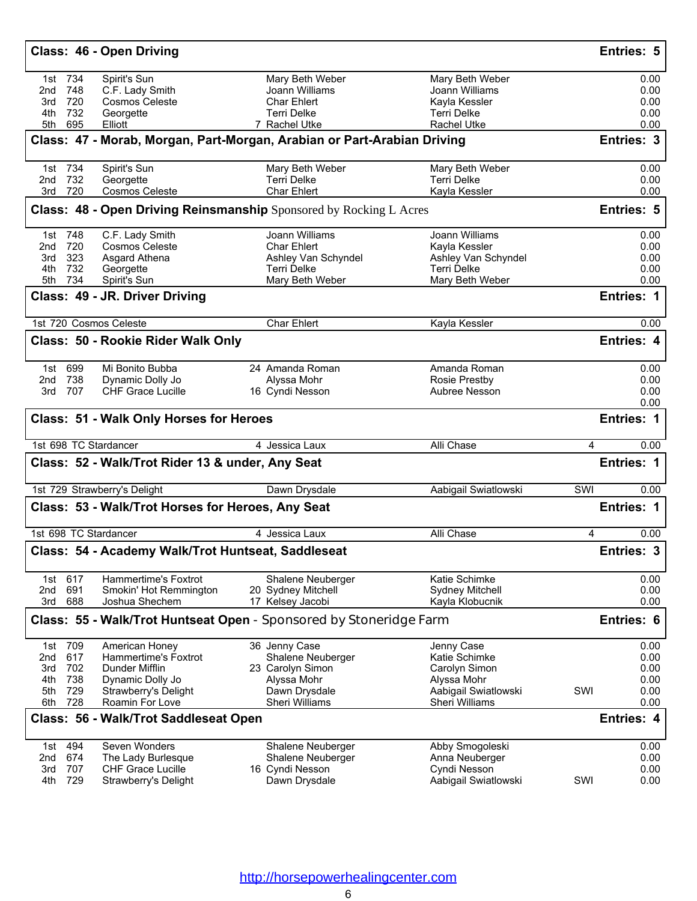| Class: 46 - Open Driving                                                     |                                       |                                       | <b>Entries: 5</b>   |
|------------------------------------------------------------------------------|---------------------------------------|---------------------------------------|---------------------|
| 1st 734<br>Spirit's Sun                                                      | Mary Beth Weber                       | Mary Beth Weber                       | 0.00                |
| C.F. Lady Smith<br>2nd 748                                                   | Joann Williams                        | Joann Williams                        | 0.00                |
| 3rd 720<br>Cosmos Celeste                                                    | <b>Char Ehlert</b>                    | Kayla Kessler                         | 0.00                |
| 732<br>4th<br>Georgette<br>5th 695<br>Elliott                                | Terri Delke<br>7 Rachel Utke          | <b>Terri Delke</b><br>Rachel Utke     | 0.00<br>0.00        |
|                                                                              |                                       |                                       |                     |
| Class: 47 - Morab, Morgan, Part-Morgan, Arabian or Part-Arabian Driving      |                                       |                                       | Entries: 3          |
| 1st 734<br>Spirit's Sun                                                      | Mary Beth Weber                       | Mary Beth Weber                       | 0.00                |
| 732<br>Georgette<br>2nd<br>720<br>Cosmos Celeste<br>3rd                      | <b>Terri Delke</b><br>Char Ehlert     | <b>Terri Delke</b><br>Kayla Kessler   | 0.00<br>0.00        |
| <b>Class: 48 - Open Driving Reinsmanship</b> Sponsored by Rocking L Acres    |                                       |                                       | <b>Entries: 5</b>   |
|                                                                              |                                       |                                       |                     |
| 1st 748<br>C.F. Lady Smith                                                   | Joann Williams                        | Joann Williams                        | 0.00                |
| 2nd 720<br><b>Cosmos Celeste</b>                                             | <b>Char Ehlert</b>                    | Kayla Kessler                         | 0.00                |
| 323<br>Asgard Athena<br>3rd                                                  | Ashley Van Schyndel                   | Ashley Van Schyndel                   | 0.00                |
| 732<br>Georgette<br>4th<br>5th 734<br>Spirit's Sun                           | <b>Terri Delke</b><br>Mary Beth Weber | <b>Terri Delke</b><br>Mary Beth Weber | 0.00<br>0.00        |
|                                                                              |                                       |                                       |                     |
| Class: 49 - JR. Driver Driving                                               |                                       |                                       | Entries: 1          |
| 1st 720 Cosmos Celeste                                                       | <b>Char Ehlert</b>                    | Kayla Kessler                         | 0.00                |
| Class: 50 - Rookie Rider Walk Only                                           |                                       |                                       | Entries: 4          |
| 1st 699<br>Mi Bonito Bubba                                                   | 24 Amanda Roman                       | Amanda Roman                          | 0.00                |
| 2nd 738<br>Dynamic Dolly Jo                                                  | Alyssa Mohr                           | <b>Rosie Prestby</b>                  | 0.00                |
| 3rd 707<br><b>CHF Grace Lucille</b>                                          | 16 Cyndi Nesson                       | Aubree Nesson                         | 0.00                |
|                                                                              |                                       |                                       | 0.00                |
| Class: 51 - Walk Only Horses for Heroes                                      |                                       |                                       | Entries: 1          |
| 1st 698 TC Stardancer                                                        | 4 Jessica Laux                        | Alli Chase                            | 0.00<br>4           |
| Class: 52 - Walk/Trot Rider 13 & under, Any Seat                             |                                       |                                       | Entries: 1          |
| 1st 729 Strawberry's Delight                                                 | Dawn Drysdale                         | Aabigail Swiatlowski                  | SWI<br>0.00         |
| Class: 53 - Walk/Trot Horses for Heroes, Any Seat                            |                                       |                                       | <b>Entries: 1</b>   |
| 1st 698 TC Stardancer                                                        | 4 Jessica Laux                        | Alli Chase                            | 4<br>0.00           |
| Class: 54 - Academy Walk/Trot Huntseat, Saddleseat                           |                                       |                                       | Entries: 3          |
| 1st 617<br>Hammertime's Foxtrot                                              | Shalene Neuberger                     | Katie Schimke                         | 0.00                |
| 691<br>2nd<br>Smokin' Hot Remmington                                         | 20 Sydney Mitchell                    | <b>Sydney Mitchell</b>                | 0.00                |
| 3rd<br>688<br>Joshua Shechem                                                 | 17 Kelsey Jacobi                      | Kayla Klobucnik                       | 0.00                |
| Class: 55 - Walk/Trot Huntseat Open - Sponsored by Stoneridge Farm           |                                       |                                       | <b>Entries: 6</b>   |
| 1st 709<br>American Honey                                                    | 36 Jenny Case                         | Jenny Case                            | 0.00                |
| 617<br>2nd<br>Hammertime's Foxtrot                                           | Shalene Neuberger                     | Katie Schimke                         | 0.00                |
| 702<br>Dunder Mifflin<br>3rd                                                 | 23 Carolyn Simon                      | Carolyn Simon                         | 0.00                |
| 738<br>4th<br>Dynamic Dolly Jo                                               | Alyssa Mohr                           | Alyssa Mohr                           | 0.00                |
| 729<br>5th<br>Strawberry's Delight                                           | Dawn Drysdale                         | Aabigail Swiatlowski                  | SWI<br>0.00         |
| 728<br>6th<br>Roamin For Love                                                | Sheri Williams                        | Sheri Williams                        | 0.00                |
| Class: 56 - Walk/Trot Saddleseat Open                                        |                                       |                                       | Entries: 4          |
| Seven Wonders<br>1st 494                                                     | Shalene Neuberger                     | Abby Smogoleski                       | 0.00                |
| 674<br>2nd<br>The Lady Burlesque                                             | Shalene Neuberger                     | Anna Neuberger                        | 0.00                |
| 707<br>3rd<br><b>CHF Grace Lucille</b><br>729<br>4th<br>Strawberry's Delight | 16 Cyndi Nesson<br>Dawn Drysdale      | Cyndi Nesson<br>Aabigail Swiatlowski  | 0.00<br>SWI<br>0.00 |
|                                                                              |                                       |                                       |                     |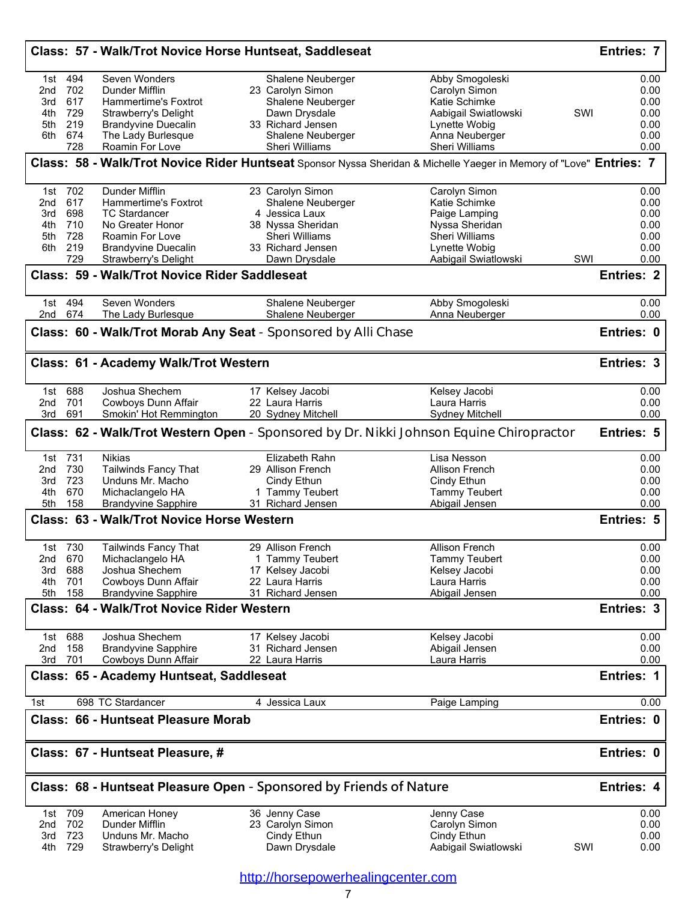|            |                | Class: 57 - Walk/Trot Novice Horse Huntseat, Saddleseat |                                                                                                                     |                                        | Entries: 7                                                                                    |
|------------|----------------|---------------------------------------------------------|---------------------------------------------------------------------------------------------------------------------|----------------------------------------|-----------------------------------------------------------------------------------------------|
| 1st        | 494            | Seven Wonders                                           | Shalene Neuberger                                                                                                   | Abby Smogoleski                        | 0.00                                                                                          |
| 2nd        | 702            | Dunder Mifflin                                          | 23 Carolyn Simon                                                                                                    | Carolyn Simon                          | 0.00                                                                                          |
| 3rd        | 617            | Hammertime's Foxtrot                                    | Shalene Neuberger                                                                                                   | Katie Schimke                          | 0.00                                                                                          |
| 4th        | 729            | Strawberry's Delight                                    | Dawn Drysdale                                                                                                       | Aabigail Swiatlowski                   | SWI<br>0.00                                                                                   |
| 5th        | 219            | <b>Brandyvine Duecalin</b>                              | 33 Richard Jensen                                                                                                   | Lynette Wobig                          | 0.00                                                                                          |
| 6th        | 674            | The Lady Burlesque                                      | Shalene Neuberger                                                                                                   | Anna Neuberger                         | 0.00                                                                                          |
|            | 728            | Roamin For Love                                         | Sheri Williams                                                                                                      | Sheri Williams                         | 0.00                                                                                          |
|            |                |                                                         | Class: 58 - Walk/Trot Novice Rider Huntseat Sponsor Nyssa Sheridan & Michelle Yaeger in Memory of "Love" Entries: 7 |                                        |                                                                                               |
|            | 1st 702        | Dunder Mifflin                                          | 23 Carolyn Simon                                                                                                    | Carolyn Simon                          | 0.00                                                                                          |
| 2nd        | 617            | Hammertime's Foxtrot                                    | Shalene Neuberger                                                                                                   | Katie Schimke                          | 0.00                                                                                          |
| 3rd        | 698            | <b>TC Stardancer</b>                                    | 4 Jessica Laux                                                                                                      | Paige Lamping                          | 0.00                                                                                          |
| 4th        | 710            | No Greater Honor                                        | 38 Nyssa Sheridan                                                                                                   | Nyssa Sheridan                         | 0.00                                                                                          |
| 5th        | 728            | Roamin For Love                                         | <b>Sheri Williams</b>                                                                                               | Sheri Williams                         | 0.00                                                                                          |
| 6th        | 219            | <b>Brandyvine Duecalin</b>                              | 33 Richard Jensen                                                                                                   | Lynette Wobig                          | 0.00                                                                                          |
|            | 729            | Strawberry's Delight                                    | Dawn Drysdale                                                                                                       | Aabigail Swiatlowski                   | SWI<br>0.00                                                                                   |
|            |                | Class: 59 - Walk/Trot Novice Rider Saddleseat           |                                                                                                                     |                                        | <b>Entries: 2</b>                                                                             |
| 2nd        | 1st 494<br>674 | Seven Wonders<br>The Lady Burlesque                     | Shalene Neuberger<br>Shalene Neuberger                                                                              | Abby Smogoleski<br>Anna Neuberger      | 0.00<br>0.00                                                                                  |
|            |                |                                                         | Class: 60 - Walk/Trot Morab Any Seat - Sponsored by Alli Chase                                                      |                                        | Entries: 0                                                                                    |
|            |                | Class: 61 - Academy Walk/Trot Western                   |                                                                                                                     |                                        | <b>Entries: 3</b>                                                                             |
|            |                |                                                         |                                                                                                                     |                                        |                                                                                               |
|            | 1st 688        | Joshua Shechem                                          | 17 Kelsey Jacobi                                                                                                    | Kelsey Jacobi                          | 0.00                                                                                          |
| 2nd<br>3rd | 701<br>691     | Cowboys Dunn Affair<br>Smokin' Hot Remmington           | 22 Laura Harris<br>20 Sydney Mitchell                                                                               | Laura Harris<br><b>Sydney Mitchell</b> | 0.00<br>0.00                                                                                  |
|            | 1st 731        | <b>Nikias</b>                                           | Class: 62 - Walk/Trot Western Open - Sponsored by Dr. Nikki Johnson Equine Chiropractor<br>Elizabeth Rahn           | Lisa Nesson                            | <b>Entries: 5</b><br>0.00                                                                     |
| 2nd        | 730            | Tailwinds Fancy That                                    | 29 Allison French                                                                                                   | Allison French                         | 0.00                                                                                          |
| 3rd        | 723            | Unduns Mr. Macho                                        | Cindy Ethun                                                                                                         | Cindy Ethun                            | 0.00                                                                                          |
| 4th        | 670            | Michaclangelo HA                                        | 1 Tammy Teubert                                                                                                     | Tammy Teubert                          | 0.00                                                                                          |
| 5th        | 158            | <b>Brandyvine Sapphire</b>                              | 31 Richard Jensen                                                                                                   | Abigail Jensen                         |                                                                                               |
|            |                |                                                         |                                                                                                                     |                                        |                                                                                               |
|            |                | <b>Class: 63 - Walk/Trot Novice Horse Western</b>       |                                                                                                                     |                                        | 0.00<br>Entries: 5                                                                            |
|            |                |                                                         |                                                                                                                     |                                        | 0.00                                                                                          |
| 2nd        | 1st 730        | <b>Tailwinds Fancy That</b>                             | 29 Allison French                                                                                                   | Allison French                         |                                                                                               |
| 3rd        | 670<br>688     | Michaclangelo HA<br>Joshua Shechem                      | 1 Tammy Teubert                                                                                                     | <b>Tammy Teubert</b>                   |                                                                                               |
| 4th        | 701            | Cowboys Dunn Affair                                     | 17 Kelsey Jacobi<br>22 Laura Harris                                                                                 | Kelsey Jacobi<br>Laura Harris          |                                                                                               |
| 5th        | 158            | <b>Brandyvine Sapphire</b>                              | 31 Richard Jensen                                                                                                   | Abigail Jensen                         |                                                                                               |
|            |                | <b>Class: 64 - Walk/Trot Novice Rider Western</b>       |                                                                                                                     |                                        |                                                                                               |
| 1st        |                | Joshua Shechem                                          |                                                                                                                     |                                        | 0.00<br>0.00<br>0.00<br>0.00<br>Entries: 3<br>0.00                                            |
|            | 688            |                                                         | 17 Kelsey Jacobi<br>31 Richard Jensen                                                                               | Kelsey Jacobi                          |                                                                                               |
| 2nd<br>3rd | 158<br>701     | <b>Brandyvine Sapphire</b><br>Cowboys Dunn Affair       | 22 Laura Harris                                                                                                     | Abigail Jensen<br>Laura Harris         |                                                                                               |
|            |                | Class: 65 - Academy Huntseat, Saddleseat                |                                                                                                                     |                                        |                                                                                               |
| 1st        |                | 698 TC Stardancer                                       | 4 Jessica Laux                                                                                                      | Paige Lamping                          | <b>Entries: 1</b>                                                                             |
|            |                | <b>Class: 66 - Huntseat Pleasure Morab</b>              |                                                                                                                     |                                        |                                                                                               |
|            |                | Class: 67 - Huntseat Pleasure, #                        |                                                                                                                     |                                        |                                                                                               |
|            |                |                                                         | Class: 68 - Huntseat Pleasure Open - Sponsored by Friends of Nature                                                 |                                        |                                                                                               |
|            |                |                                                         |                                                                                                                     |                                        |                                                                                               |
| 2nd        | 1st 709        | American Honey<br>Dunder Mifflin                        | 36 Jenny Case                                                                                                       | Jenny Case                             |                                                                                               |
| 3rd        | 702<br>723     | Unduns Mr. Macho                                        | 23 Carolyn Simon<br>Cindy Ethun                                                                                     | Carolyn Simon<br>Cindy Ethun           | 0.00<br>0.00<br>0.00<br>Entries: 0<br>Entries: 0<br><b>Entries: 4</b><br>0.00<br>0.00<br>0.00 |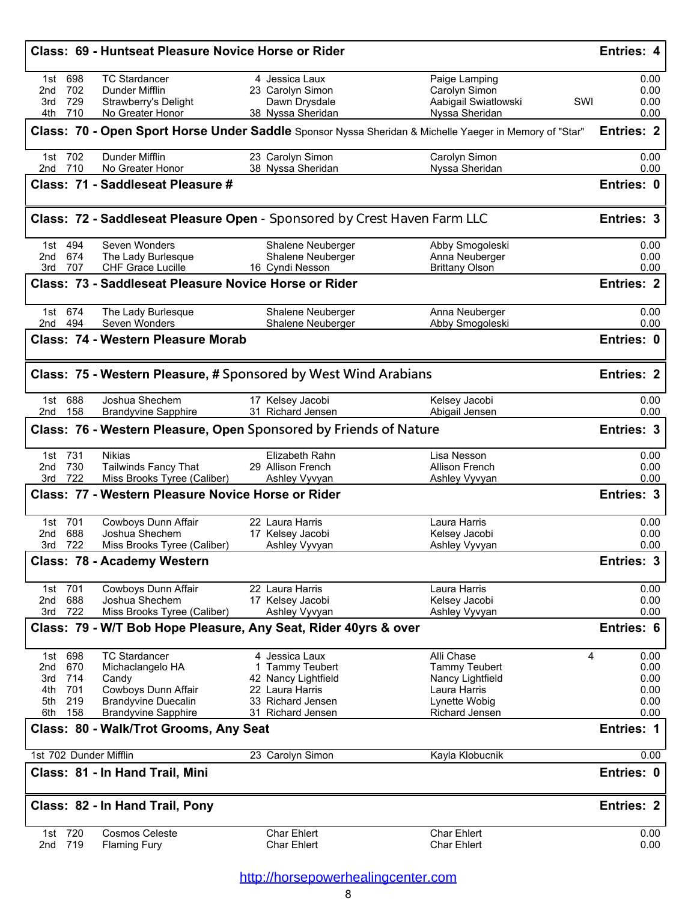|                          | <b>Class: 69 - Huntseat Pleasure Novice Horse or Rider</b>   |                                                                          |                                                                                                        | <b>Entries: 4</b>   |
|--------------------------|--------------------------------------------------------------|--------------------------------------------------------------------------|--------------------------------------------------------------------------------------------------------|---------------------|
| 698<br>1st               | <b>TC Stardancer</b>                                         | 4 Jessica Laux                                                           | Paige Lamping                                                                                          | 0.00                |
| 702<br>2nd               | Dunder Mifflin                                               | 23 Carolyn Simon                                                         | Carolyn Simon                                                                                          | 0.00                |
| 729<br>3rd<br>710<br>4th | Strawberry's Delight<br>No Greater Honor                     | Dawn Drysdale<br>38 Nyssa Sheridan                                       | Aabigail Swiatlowski<br>Nyssa Sheridan                                                                 | SWI<br>0.00<br>0.00 |
|                          |                                                              |                                                                          | Class: 70 - Open Sport Horse Under Saddle Sponsor Nyssa Sheridan & Michelle Yaeger in Memory of "Star" | <b>Entries: 2</b>   |
|                          |                                                              |                                                                          |                                                                                                        |                     |
| 1st 702<br>2nd 710       | Dunder Mifflin<br>No Greater Honor                           | 23 Carolyn Simon<br>38 Nyssa Sheridan                                    | Carolyn Simon<br>Nyssa Sheridan                                                                        | 0.00<br>0.00        |
|                          | Class: 71 - Saddleseat Pleasure #                            |                                                                          |                                                                                                        | Entries: 0          |
|                          |                                                              | Class: 72 - Saddleseat Pleasure Open - Sponsored by Crest Haven Farm LLC |                                                                                                        | <b>Entries: 3</b>   |
| 1st 494                  | Seven Wonders                                                | Shalene Neuberger                                                        | Abby Smogoleski                                                                                        | 0.00                |
| 674<br>2nd               | The Lady Burlesque                                           | Shalene Neuberger                                                        | Anna Neuberger                                                                                         | 0.00                |
| 3rd 707                  | CHF Grace Lucille                                            | 16 Cyndi Nesson                                                          | <b>Brittany Olson</b>                                                                                  | 0.00                |
|                          | <b>Class: 73 - Saddleseat Pleasure Novice Horse or Rider</b> |                                                                          |                                                                                                        | <b>Entries: 2</b>   |
| 1st 674                  | The Lady Burlesque                                           | Shalene Neuberger                                                        | Anna Neuberger                                                                                         | 0.00                |
| 2nd 494                  | Seven Wonders<br><b>Class: 74 - Western Pleasure Morab</b>   | Shalene Neuberger                                                        | Abby Smogoleski                                                                                        | 0.00<br>Entries: 0  |
|                          |                                                              |                                                                          |                                                                                                        |                     |
|                          |                                                              | Class: 75 - Western Pleasure, # Sponsored by West Wind Arabians          |                                                                                                        | <b>Entries: 2</b>   |
| 1st 688                  | Joshua Shechem                                               | 17 Kelsey Jacobi                                                         | Kelsey Jacobi                                                                                          | 0.00                |
| 2nd 158                  | <b>Brandyvine Sapphire</b>                                   | 31 Richard Jensen                                                        | Abigail Jensen                                                                                         | 0.00                |
|                          |                                                              | Class: 76 - Western Pleasure, Open Sponsored by Friends of Nature        |                                                                                                        | <b>Entries: 3</b>   |
| 1st 731<br>730<br>2nd    | <b>Nikias</b><br><b>Tailwinds Fancy That</b>                 | Elizabeth Rahn<br>29 Allison French                                      | Lisa Nesson<br>Allison French                                                                          | 0.00<br>0.00        |
| 722<br>3rd               | Miss Brooks Tyree (Caliber)                                  | Ashley Vyvyan                                                            | Ashley Vyvyan                                                                                          | 0.00                |
|                          | <b>Class: 77 - Western Pleasure Novice Horse or Rider</b>    |                                                                          |                                                                                                        | <b>Entries: 3</b>   |
| 1st 701                  | Cowboys Dunn Affair                                          | 22 Laura Harris                                                          | Laura Harris                                                                                           | 0.00                |
| 688<br>2nd               | Joshua Shechem                                               | 17 Kelsey Jacobi                                                         | Kelsey Jacobi                                                                                          | 0.00                |
| 722<br>3rd               | Miss Brooks Tyree (Caliber)                                  | Ashley Vyvyan                                                            | Ashley Vyvyan                                                                                          | 0.00                |
|                          | Class: 78 - Academy Western                                  |                                                                          |                                                                                                        | Entries: 3          |
| 1st 701                  | Cowboys Dunn Affair                                          | 22 Laura Harris                                                          | Laura Harris                                                                                           | 0.00                |
| 688<br>2nd               | Joshua Shechem                                               | 17 Kelsey Jacobi                                                         | Kelsey Jacobi                                                                                          | 0.00                |
| 722<br>3rd               | Miss Brooks Tyree (Caliber)                                  | Ashley Vyvyan                                                            | Ashley Vyvyan                                                                                          | 0.00                |
|                          |                                                              | Class: 79 - W/T Bob Hope Pleasure, Any Seat, Rider 40yrs & over          |                                                                                                        | Entries: 6          |
| 1st 698                  | <b>TC Stardancer</b>                                         | 4 Jessica Laux                                                           | Alli Chase                                                                                             | 0.00<br>4           |
| 2nd<br>670               | Michaclangelo HA                                             | <b>Tammy Teubert</b>                                                     | <b>Tammy Teubert</b>                                                                                   | 0.00                |
| 714<br>3rd               | Candy                                                        | 42 Nancy Lightfield                                                      | Nancy Lightfield                                                                                       | 0.00                |
| 701<br>4th               | Cowboys Dunn Affair                                          | 22 Laura Harris                                                          | Laura Harris                                                                                           | 0.00                |
| 219<br>5th<br>6th 158    | <b>Brandyvine Duecalin</b>                                   | 33 Richard Jensen                                                        | Lynette Wobig                                                                                          | 0.00<br>0.00        |
|                          | <b>Brandyvine Sapphire</b>                                   | 31 Richard Jensen                                                        | <b>Richard Jensen</b>                                                                                  |                     |
|                          | Class: 80 - Walk/Trot Grooms, Any Seat                       |                                                                          |                                                                                                        | <b>Entries: 1</b>   |
|                          | 1st 702 Dunder Mifflin                                       | 23 Carolyn Simon                                                         | Kayla Klobucnik                                                                                        | 0.00                |
|                          | Class: 81 - In Hand Trail, Mini                              |                                                                          |                                                                                                        | Entries: 0          |
|                          |                                                              |                                                                          |                                                                                                        | <b>Entries: 2</b>   |
|                          | Class: 82 - In Hand Trail, Pony                              |                                                                          |                                                                                                        |                     |
| 1st 720<br>2nd 719       | <b>Cosmos Celeste</b><br><b>Flaming Fury</b>                 | Char Ehlert<br><b>Char Ehlert</b>                                        | <b>Char Ehlert</b><br><b>Char Ehlert</b>                                                               | 0.00<br>0.00        |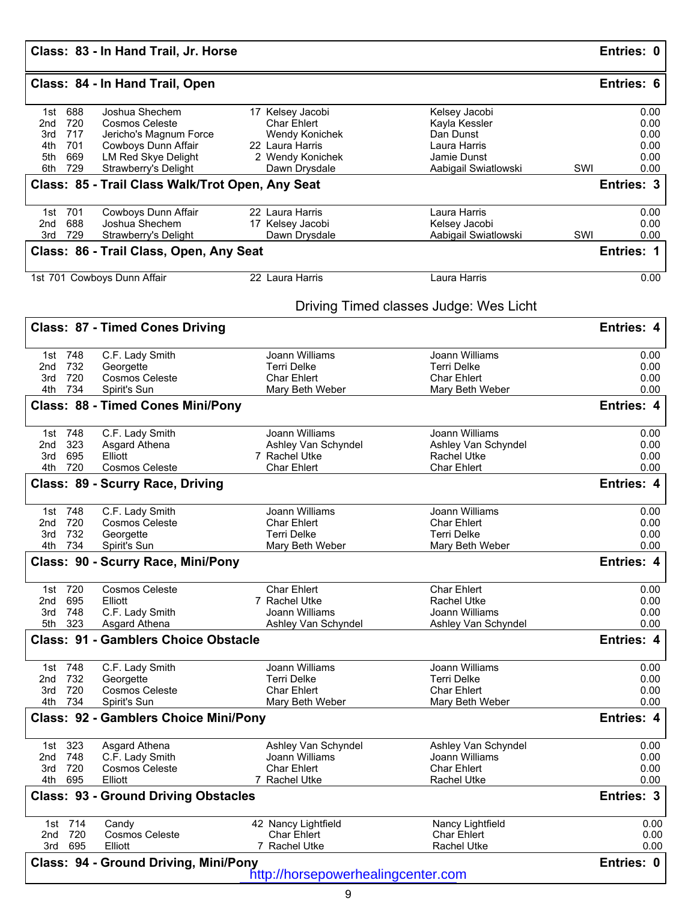## **Class: 84 - In Hand Trail, Open Entries: 6**

| 1st 688                  |                                                              |                                           |                                          |                                    |
|--------------------------|--------------------------------------------------------------|-------------------------------------------|------------------------------------------|------------------------------------|
|                          | Joshua Shechem                                               | 17 Kelsey Jacobi                          | Kelsey Jacobi                            | 0.00                               |
| 720<br>2nd               | <b>Cosmos Celeste</b>                                        | <b>Char Ehlert</b>                        | Kayla Kessler                            | 0.00                               |
| 717<br>3rd               | Jericho's Magnum Force                                       | Wendy Konichek                            | Dan Dunst                                | 0.00                               |
| 701<br>4th               | Cowboys Dunn Affair                                          | 22 Laura Harris                           | Laura Harris                             | 0.00                               |
| 669<br>5th               | LM Red Skye Delight                                          | 2 Wendy Konichek                          | Jamie Dunst                              | 0.00                               |
| 729<br>6th               | Strawberry's Delight                                         | Dawn Drysdale                             | Aabigail Swiatlowski                     | SWI<br>0.00                        |
|                          | Class: 85 - Trail Class Walk/Trot Open, Any Seat             |                                           |                                          | Entries: 3                         |
| 1st 701                  | Cowboys Dunn Affair                                          | 22 Laura Harris                           | Laura Harris                             | 0.00                               |
| 688<br>2nd               | Joshua Shechem                                               | 17 Kelsey Jacobi                          | Kelsey Jacobi                            | 0.00                               |
| 729<br>3rd               | Strawberry's Delight                                         | Dawn Drysdale                             | Aabigail Swiatlowski                     | SWI<br>0.00                        |
|                          | Class: 86 - Trail Class, Open, Any Seat                      |                                           |                                          | Entries: 1                         |
|                          | 1st 701 Cowboys Dunn Affair                                  | 22 Laura Harris                           | Laura Harris                             | 0.00                               |
|                          |                                                              |                                           | Driving Timed classes Judge: Wes Licht   |                                    |
|                          | <b>Class: 87 - Timed Cones Driving</b>                       |                                           |                                          | <b>Entries: 4</b>                  |
| 1st 748                  | C.F. Lady Smith                                              | Joann Williams                            | Joann Williams                           | 0.00                               |
| 732<br>2nd               | Georgette                                                    | <b>Terri Delke</b>                        | <b>Terri Delke</b>                       | 0.00                               |
| 720<br>3rd               | Cosmos Celeste                                               | <b>Char Ehlert</b>                        | <b>Char Ehlert</b>                       | 0.00                               |
| 734<br>4th               | Spirit's Sun                                                 | Mary Beth Weber                           | Mary Beth Weber                          | 0.00                               |
|                          | <b>Class: 88 - Timed Cones Mini/Pony</b>                     |                                           |                                          | <b>Entries: 4</b>                  |
| 1st 748                  | C.F. Lady Smith                                              | Joann Williams                            | Joann Williams                           | 0.00                               |
| 323<br>2nd               | Asgard Athena                                                | Ashley Van Schyndel                       | Ashley Van Schyndel                      | 0.00                               |
| 695<br>3rd               | Elliott                                                      | 7 Rachel Utke                             | <b>Rachel Utke</b>                       | 0.00                               |
| 720<br>4th               | <b>Cosmos Celeste</b>                                        | <b>Char Ehlert</b>                        | <b>Char Ehlert</b>                       | 0.00                               |
|                          | Class: 89 - Scurry Race, Driving                             |                                           |                                          | <b>Entries: 4</b>                  |
| 1st 748                  | C.F. Lady Smith                                              | Joann Williams                            | Joann Williams                           | 0.00                               |
| 720<br>2nd               | <b>Cosmos Celeste</b>                                        | <b>Char Ehlert</b>                        | <b>Char Ehlert</b>                       | 0.00                               |
| 732<br>3rd               | Georgette                                                    | <b>Terri Delke</b>                        | <b>Terri Delke</b>                       | 0.00                               |
| 734<br>4th               | Spirit's Sun                                                 | Mary Beth Weber                           | Mary Beth Weber                          | 0.00                               |
|                          | Class: 90 - Scurry Race, Mini/Pony                           |                                           |                                          | Entries: 4                         |
| 1st 720                  | Cosmos Celeste                                               | <b>Char Ehlert</b>                        | <b>Char Ehlert</b>                       | 0.00                               |
| 695<br>2nd               | Elliott                                                      | 7 Rachel Utke                             | <b>Rachel Utke</b>                       | 0.00                               |
| 3rd<br>748<br>323<br>5th | C.F. Lady Smith<br>Asgard Athena                             | Joann Williams<br>Ashley Van Schyndel     | Joann Williams<br>Ashley Van Schyndel    | 0.00<br>0.00                       |
|                          |                                                              |                                           |                                          |                                    |
|                          |                                                              |                                           |                                          | <b>Entries: 4</b>                  |
|                          | <b>Class: 91 - Gamblers Choice Obstacle</b>                  |                                           |                                          |                                    |
| 1st 748                  | C.F. Lady Smith                                              | Joann Williams                            | Joann Williams                           |                                    |
| 732<br>2nd               | Georgette                                                    | <b>Terri Delke</b>                        | <b>Terri Delke</b>                       |                                    |
| 720<br>3rd               | <b>Cosmos Celeste</b>                                        | <b>Char Ehlert</b>                        | <b>Char Ehlert</b>                       | 0.00<br>0.00<br>0.00               |
| 4th<br>734               | Spirit's Sun<br><b>Class: 92 - Gamblers Choice Mini/Pony</b> | Mary Beth Weber                           | Mary Beth Weber                          |                                    |
|                          |                                                              |                                           |                                          | 0.00<br><b>Entries: 4</b>          |
| 1st 323                  | Asgard Athena                                                | Ashley Van Schyndel                       | Ashley Van Schyndel                      | 0.00                               |
| 748<br>2nd               | C.F. Lady Smith                                              | Joann Williams                            | Joann Williams                           |                                    |
| 720<br>3rd<br>695<br>4th | <b>Cosmos Celeste</b><br>Elliott                             | <b>Char Ehlert</b><br>7 Rachel Utke       | <b>Char Ehlert</b><br><b>Rachel Utke</b> |                                    |
|                          | <b>Class: 93 - Ground Driving Obstacles</b>                  |                                           |                                          |                                    |
|                          |                                                              |                                           |                                          | 0.00<br>0.00<br>0.00<br>Entries: 3 |
| 1st 714<br>720<br>2nd    | Candy<br><b>Cosmos Celeste</b>                               | 42 Nancy Lightfield<br><b>Char Ehlert</b> | Nancy Lightfield<br><b>Char Ehlert</b>   | 0.00<br>0.00                       |
| 3rd<br>695               | Elliott                                                      | 7 Rachel Utke                             | <b>Rachel Utke</b>                       | 0.00                               |